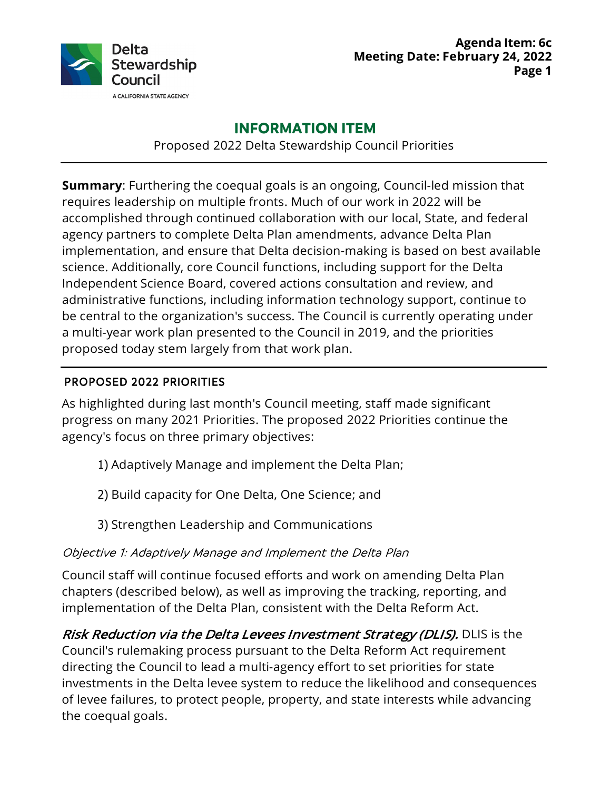

# **INFORMATION ITEM**

Proposed 2022 Delta Stewardship Council Priorities

 **Summary**: Furthering the coequal goals is an ongoing, Council-led mission that requires leadership on multiple fronts. Much of our work in 2022 will be accomplished through continued collaboration with our local, State, and federal agency partners to complete Delta Plan amendments, advance Delta Plan implementation, and ensure that Delta decision-making is based on best available science. Additionally, core Council functions, including support for the Delta Independent Science Board, covered actions consultation and review, and administrative functions, including information technology support, continue to be central to the organization's success. The Council is currently operating under a multi-year work plan presented to the Council in 2019, and the priorities proposed today stem largely from that work plan.

### PROPOSED 2022 PRIORITIES

 As highlighted during last month's Council meeting, staff made significant progress on many 2021 Priorities. The proposed 2022 Priorities continue the agency's focus on three primary objectives:

- 1) Adaptively Manage and implement the Delta Plan;
- 2) Build capacity for One Delta, One Science; and
- 3) Strengthen Leadership and Communications

## Objective 1: Adaptively Manage and Implement the Delta Plan

 Council staff will continue focused efforts and work on amending Delta Plan chapters (described below), as well as improving the tracking, reporting, and implementation of the Delta Plan, consistent with the Delta Reform Act.

*Risk Reduction via the Delta Levees Investment Strategy (DLIS).* **DLIS is the**  Council's rulemaking process pursuant to the Delta Reform Act requirement directing the Council to lead a multi-agency effort to set priorities for state investments in the Delta levee system to reduce the likelihood and consequences of levee failures, to protect people, property, and state interests while advancing the coequal goals.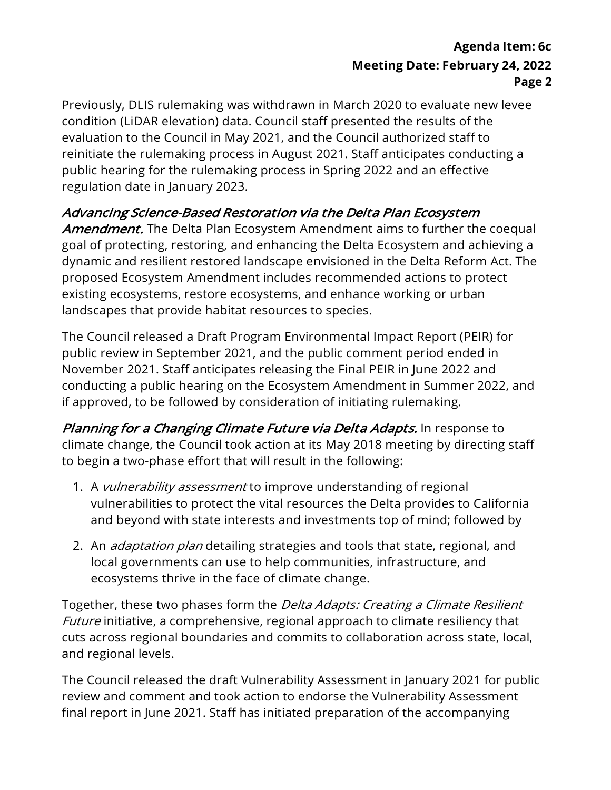Previously, DLIS rulemaking was withdrawn in March 2020 to evaluate new levee condition (LiDAR elevation) data. Council staff presented the results of the evaluation to the Council in May 2021, and the Council authorized staff to reinitiate the rulemaking process in August 2021. Staff anticipates conducting a public hearing for the rulemaking process in Spring 2022 and an effective regulation date in January 2023.

### Advancing Science-Based Restoration via the Delta Plan Ecosystem

*Amendment.* The Delta Plan Ecosystem Amendment aims to further the coequal goal of protecting, restoring, and enhancing the Delta Ecosystem and achieving a dynamic and resilient restored landscape envisioned in the Delta Reform Act. The proposed Ecosystem Amendment includes recommended actions to protect existing ecosystems, restore ecosystems, and enhance working or urban landscapes that provide habitat resources to species.

 The Council released a Draft Program Environmental Impact Report (PEIR) for public review in September 2021, and the public comment period ended in November 2021. Staff anticipates releasing the Final PEIR in June 2022 and conducting a public hearing on the Ecosystem Amendment in Summer 2022, and if approved, to be followed by consideration of initiating rulemaking.

*Planning for a Changing Climate Future via Delta Adapts.* In response to climate change, the Council took action at its May 2018 meeting by directing staff to begin a two-phase effort that will result in the following:

- 1. A vulnerability assessment to improve understanding of regional vulnerabilities to protect the vital resources the Delta provides to California and beyond with state interests and investments top of mind; followed by
- 2. An *adaptation plan* detailing strategies and tools that state, regional, and local governments can use to help communities, infrastructure, and ecosystems thrive in the face of climate change.

Together, these two phases form the *Delta Adapts: Creating a Climate Resilient* Future initiative, a comprehensive, regional approach to climate resiliency that cuts across regional boundaries and commits to collaboration across state, local, and regional levels.

 The Council released the draft Vulnerability Assessment in January 2021 for public review and comment and took action to endorse the Vulnerability Assessment final report in June 2021. Staff has initiated preparation of the accompanying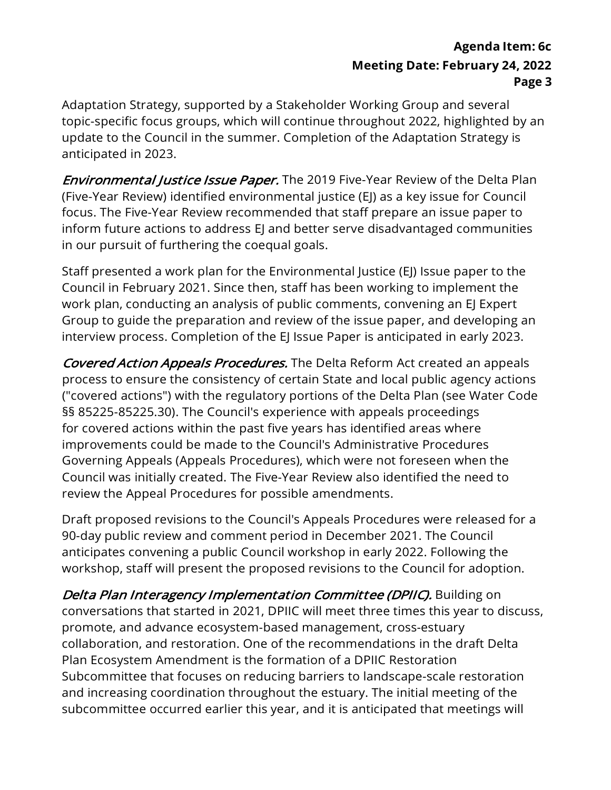Adaptation Strategy, supported by a Stakeholder Working Group and several topic-specific focus groups, which will continue throughout 2022, highlighted by an update to the Council in the summer. Completion of the Adaptation Strategy is anticipated in 2023.

*Environmental Justice Issue Paper.* The 2019 Five-Year Review of the Delta Plan (Five-Year Review) identified environmental justice (EJ) as a key issue for Council focus. The Five-Year Review recommended that staff prepare an issue paper to inform future actions to address EJ and better serve disadvantaged communities in our pursuit of furthering the coequal goals.

 Staff presented a work plan for the Environmental Justice (EJ) Issue paper to the Council in February 2021. Since then, staff has been working to implement the work plan, conducting an analysis of public comments, convening an EJ Expert Group to guide the preparation and review of the issue paper, and developing an interview process. Completion of the EJ Issue Paper is anticipated in early 2023.

Covered Action Appeals Procedures. The Delta Reform Act created an appeals process to ensure the consistency of certain State and local public agency actions ("covered actions") with the regulatory portions of the Delta Plan (see Water Code §§ [85225-85225.30\)](https://85225-85225.30). The Council's experience with appeals proceedings for covered actions within the past five years has identified areas where improvements could be made to the Council's Administrative Procedures Governing Appeals (Appeals Procedures), which were not foreseen when the Council was initially created. The Five-Year Review also identified the need to review the Appeal Procedures for possible amendments.

 Draft proposed revisions to the Council's Appeals Procedures were released for a 90-day public review and comment period in December 2021. The Council anticipates convening a public Council workshop in early 2022. Following the workshop, staff will present the proposed revisions to the Council for adoption.

*Delta Plan Interagency Implementation Committee (DPIIC).* Building on conversations that started in 2021, DPIIC will meet three times this year to discuss, collaboration, and restoration. One of the recommendations in the draft Delta Plan Ecosystem Amendment is the formation of a DPIIC Restoration Subcommittee that focuses on reducing barriers to landscape-scale restoration and increasing coordination throughout the estuary. The initial meeting of the subcommittee occurred earlier this year, and it is anticipated that meetings will promote, and advance ecosystem-based management, cross-estuary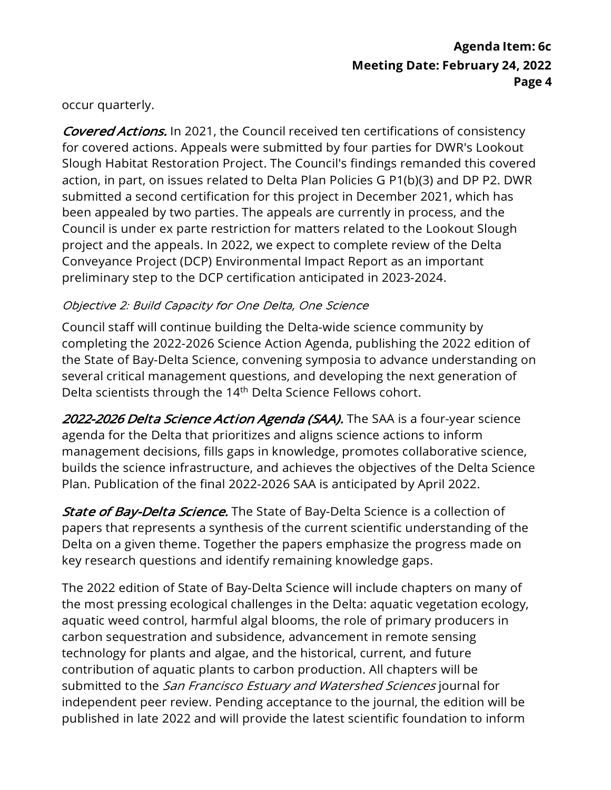occur quarterly.

Covered Actions. In 2021, the Council received ten certifications of consistency for covered actions. Appeals were submitted by four parties for DWR's Lookout Slough Habitat Restoration Project. The Council's findings remanded this covered action, in part, on issues related to Delta Plan Policies G P1(b)(3) and DP P2. DWR submitted a second certification for this project in December 2021, which has been appealed by two parties. The appeals are currently in process, and the Council is under ex parte restriction for matters related to the Lookout Slough project and the appeals. In 2022, we expect to complete review of the Delta Conveyance Project (DCP) Environmental Impact Report as an important preliminary step to the DCP certification anticipated in 2023-2024.

### Objective 2: Build Capacity for One Delta, One Science

 Council staff will continue building the Delta-wide science community by completing the 2022-2026 Science Action Agenda, publishing the 2022 edition of the State of Bay-Delta Science, convening symposia to advance understanding on several critical management questions, and developing the next generation of Delta scientists through the 14<sup>th</sup> Delta Science Fellows cohort.

*2022-2026 Delta Science Action Agenda (SAA).* The SAA is a four-year science agenda for the Delta that prioritizes and aligns science actions to inform management decisions, fills gaps in knowledge, promotes collaborative science, builds the science infrastructure, and achieves the objectives of the Delta Science Plan. Publication of the final 2022-2026 SAA is anticipated by April 2022.

*State of Bay-Delta Science.* The State of Bay-Delta Science is a collection of papers that represents a synthesis of the current scientific understanding of the Delta on a given theme. Together the papers emphasize the progress made on key research questions and identify remaining knowledge gaps.

 The 2022 edition of State of Bay-Delta Science will include chapters on many of the most pressing ecological challenges in the Delta: aquatic vegetation ecology, aquatic weed control, harmful algal blooms, the role of primary producers in carbon sequestration and subsidence, advancement in remote sensing technology for plants and algae, and the historical, current, and future contribution of aquatic plants to carbon production. All chapters will be submitted to the *San Francisco Estuary and Watershed Sciences* journal for independent peer review. Pending acceptance to the journal, the edition will be published in late 2022 and will provide the latest scientific foundation to inform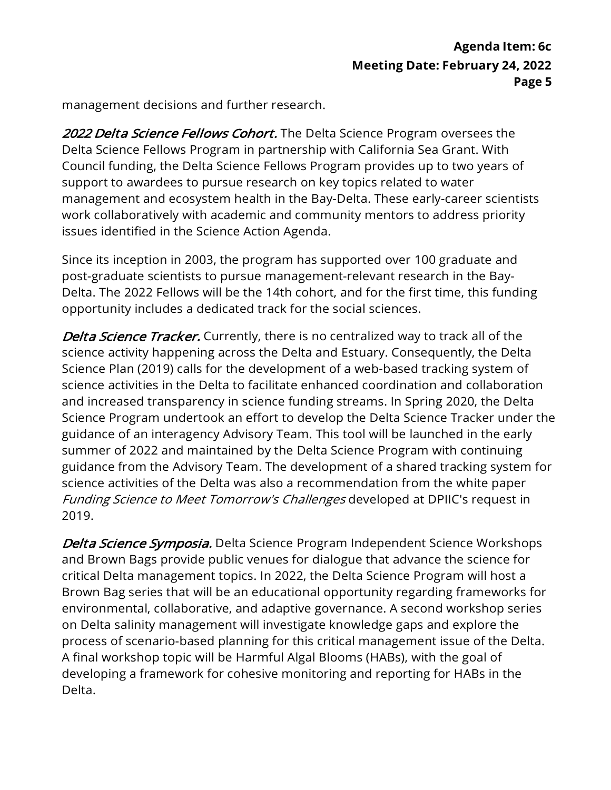management decisions and further research.

2022 Delta Science Fellows Cohort. The Delta Science Program oversees the Delta Science Fellows Program in partnership with California Sea Grant. With Council funding, the Delta Science Fellows Program provides up to two years of support to awardees to pursue research on key topics related to water management and ecosystem health in the Bay-Delta. These early-career scientists work collaboratively with academic and community mentors to address priority issues identified in the Science Action Agenda.

 Since its inception in 2003, the program has supported over 100 graduate and post-graduate scientists to pursue management-relevant research in the Bay- Delta. The 2022 Fellows will be the 14th cohort, and for the first time, this funding opportunity includes a dedicated track for the social sciences.

*Delta Science Tracker.* Currently, there is no centralized way to track all of the science activity happening across the Delta and Estuary. Consequently, the Delta Science Plan (2019) calls for the development of a web-based tracking system of science activities in the Delta to facilitate enhanced coordination and collaboration and increased transparency in science funding streams. In Spring 2020, the Delta Science Program undertook an effort to develop the Delta Science Tracker under the guidance of an interagency Advisory Team. This tool will be launched in the early summer of 2022 and maintained by the Delta Science Program with continuing guidance from the Advisory Team. The development of a shared tracking system for science activities of the Delta was also a recommendation from the white paper Funding Science to Meet Tomorrow's Challenges developed at DPIIC's request in 2019.

*Delta Science Symposia. Delta Science Program Independent Science Workshops*  and Brown Bags provide public venues for dialogue that advance the science for critical Delta management topics. In 2022, the Delta Science Program will host a Brown Bag series that will be an educational opportunity regarding frameworks for environmental, collaborative, and adaptive governance. A second workshop series on Delta salinity management will investigate knowledge gaps and explore the process of scenario-based planning for this critical management issue of the Delta. A final workshop topic will be Harmful Algal Blooms (HABs), with the goal of developing a framework for cohesive monitoring and reporting for HABs in the Delta.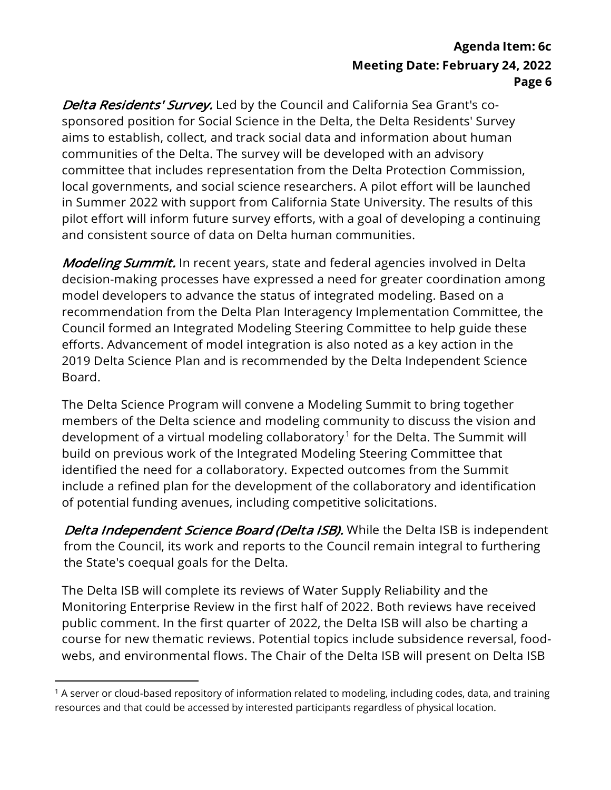*Delta Residents' Survey.* Led by the Council and California Sea Grant's co- sponsored position for Social Science in the Delta, the Delta Residents' Survey aims to establish, collect, and track social data and information about human communities of the Delta. The survey will be developed with an advisory committee that includes representation from the Delta Protection Commission, local governments, and social science researchers. A pilot effort will be launched in Summer 2022 with support from California State University. The results of this pilot effort will inform future survey efforts, with a goal of developing a continuing and consistent source of data on Delta human communities.

*Modeling Summit.* In recent years, state and federal agencies involved in Delta decision-making processes have expressed a need for greater coordination among model developers to advance the status of integrated modeling. Based on a recommendation from the Delta Plan Interagency Implementation Committee, the Council formed an Integrated Modeling Steering Committee to help guide these efforts. Advancement of model integration is also noted as a key action in the 2019 Delta Science Plan and is recommended by the Delta Independent Science Board.

 The Delta Science Program will convene a Modeling Summit to bring together members of the Delta science and modeling community to discuss the vision and development of a virtual modeling collaboratory.<sup>1</sup> for the Delta. The Summit will build on previous work of the Integrated Modeling Steering Committee that identified the need for a collaboratory. Expected outcomes from the Summit include a refined plan for the development of the collaboratory and identification of potential funding avenues, including competitive solicitations.

**Delta Independent Science Board (Delta ISB).** While the Delta ISB is independent from the Council, its work and reports to the Council remain integral to furthering the State's coequal goals for the Delta.

 The Delta ISB will complete its reviews of Water Supply Reliability and the Monitoring Enterprise Review in the first half of 2022. Both reviews have received public comment. In the first quarter of 2022, the Delta ISB will also be charting a course for new thematic reviews. Potential topics include subsidence reversal, food-webs, and environmental flows. The Chair of the Delta ISB will present on Delta ISB

 $1$  A server or cloud-based repository of information related to modeling, including codes, data, and training resources and that could be accessed by interested participants regardless of physical location.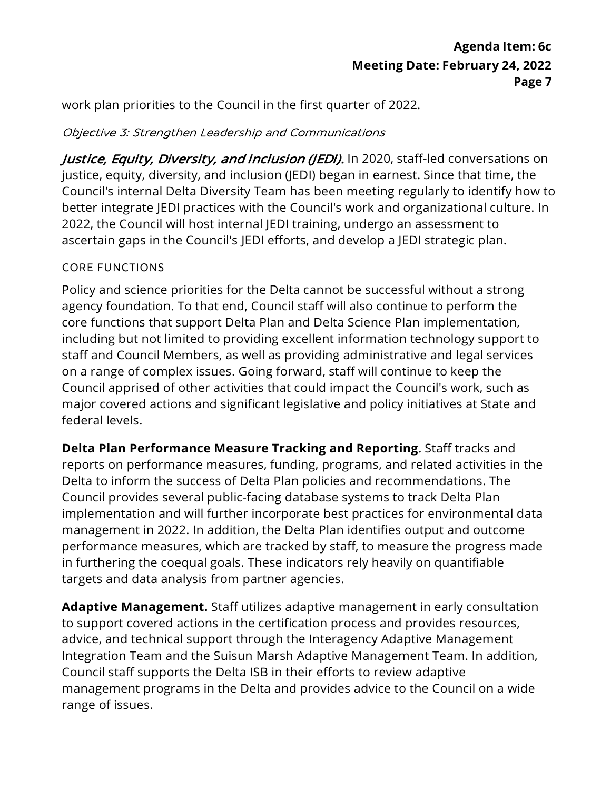work plan priorities to the Council in the first quarter of 2022.

#### Objective 3: Strengthen Leadership and Communications

*Justice, Equity, Diversity, and Inclusion (JEDI).* In 2020, staff-led conversations on justice, equity, diversity, and inclusion (JEDI) began in earnest. Since that time, the Council's internal Delta Diversity Team has been meeting regularly to identify how to better integrate JEDI practices with the Council's work and organizational culture. In 2022, the Council will host internal JEDI training, undergo an assessment to ascertain gaps in the Council's JEDI efforts, and develop a JEDI strategic plan.

#### CORE FUNCTIONS

 Policy and science priorities for the Delta cannot be successful without a strong agency foundation. To that end, Council staff will also continue to perform the core functions that support Delta Plan and Delta Science Plan implementation, including but not limited to providing excellent information technology support to staff and Council Members, as well as providing administrative and legal services on a range of complex issues. Going forward, staff will continue to keep the Council apprised of other activities that could impact the Council's work, such as major covered actions and significant legislative and policy initiatives at State and federal levels.

 **Delta Plan Performance Measure Tracking and Reporting**. Staff tracks and reports on performance measures, funding, programs, and related activities in the Delta to inform the success of Delta Plan policies and recommendations. The Council provides several public-facing database systems to track Delta Plan implementation and will further incorporate best practices for environmental data management in 2022. In addition, the Delta Plan identifies output and outcome performance measures, which are tracked by staff, to measure the progress made in furthering the coequal goals. These indicators rely heavily on quantifiable targets and data analysis from partner agencies.

 **Adaptive Management.** Staff utilizes adaptive management in early consultation to support covered actions in the certification process and provides resources, advice, and technical support through the Interagency Adaptive Management Integration Team and the Suisun Marsh Adaptive Management Team. In addition, Council staff supports the Delta ISB in their efforts to review adaptive management programs in the Delta and provides advice to the Council on a wide range of issues.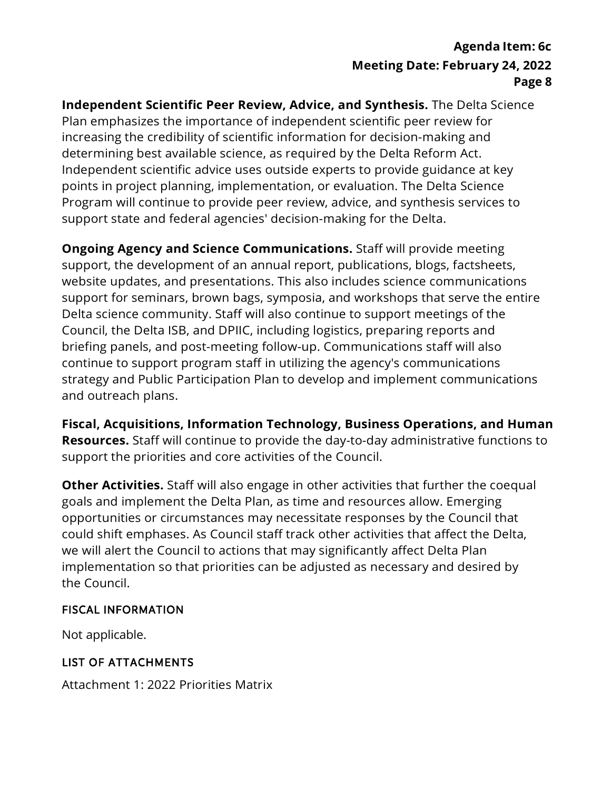**Independent Scientific Peer Review, Advice, and Synthesis.** The Delta Science Plan emphasizes the importance of independent scientific peer review for increasing the credibility of scientific information for decision-making and determining best available science, as required by the Delta Reform Act. Independent scientific advice uses outside experts to provide guidance at key points in project planning, implementation, or evaluation. The Delta Science Program will continue to provide peer review, advice, and synthesis services to support state and federal agencies' decision-making for the Delta.

 **Ongoing Agency and Science Communications.** Staff will provide meeting support, the development of an annual report, publications, blogs, factsheets, website updates, and presentations. This also includes science communications support for seminars, brown bags, symposia, and workshops that serve the entire Delta science community. Staff will also continue to support meetings of the Council, the Delta ISB, and DPIIC, including logistics, preparing reports and briefing panels, and post-meeting follow-up. Communications staff will also continue to support program staff in utilizing the agency's communications strategy and Public Participation Plan to develop and implement communications and outreach plans.

 **Resources.** Staff will continue to provide the day-to-day administrative functions to support the priorities and core activities of the Council. **Fiscal, Acquisitions, Information Technology, Business Operations, and Human** 

 **Other Activities.** Staff will also engage in other activities that further the coequal goals and implement the Delta Plan, as time and resources allow. Emerging opportunities or circumstances may necessitate responses by the Council that could shift emphases. As Council staff track other activities that affect the Delta, we will alert the Council to actions that may significantly affect Delta Plan implementation so that priorities can be adjusted as necessary and desired by the Council.

#### FISCAL INFORMATION

Not applicable.

#### LIST OF ATTACHMENTS

Attachment 1: 2022 Priorities Matrix